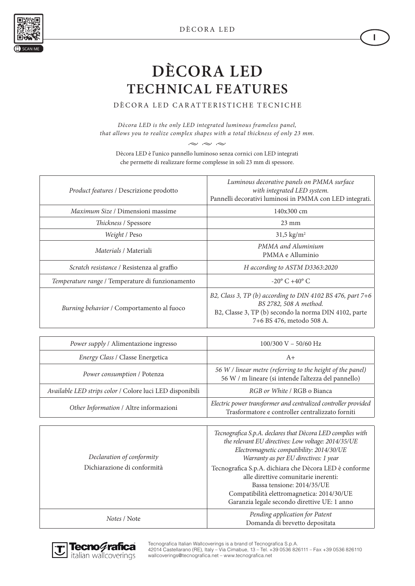

**I**



## **DÈCORA LED TECHNICAL FEATURES**

DÈCORA LED CARATTERISTICHE TECNICHE

*Dècora LED is the only LED integrated luminous frameless panel, that allows you to realize complex shapes with a total thickness of only 23 mm.*

 $\sim \ \ \approx \ \ \approx$ Dècora LED è l'unico pannello luminoso senza cornici con LED integrati che permette di realizzare forme complesse in soli 23 mm di spessore.

| Product features / Descrizione prodotto          | Luminous decorative panels on PMMA surface<br>with integrated LED system.<br>Pannelli decorativi luminosi in PMMA con LED integrati.                                       |
|--------------------------------------------------|----------------------------------------------------------------------------------------------------------------------------------------------------------------------------|
| <i>Maximum Size / Dimensioni massime</i>         | 140x300 cm                                                                                                                                                                 |
| Thickness / Spessore                             | $23 \text{ mm}$                                                                                                                                                            |
| Weight / Peso                                    | $31,5 \text{ kg/m}^2$                                                                                                                                                      |
| <i>Materials / Materiali</i>                     | PMMA and Aluminium<br>PMMA e Alluminio                                                                                                                                     |
| Scratch resistance / Resistenza al graffio       | H according to ASTM D3363:2020                                                                                                                                             |
| Temperature range / Temperature di funzionamento | $-20^{\circ}$ C +40° C                                                                                                                                                     |
| Burning behavior / Comportamento al fuoco        | B2, Class 3, TP (b) according to DIN 4102 BS 476, part 7+6<br>BS 2782, 508 A method.<br>B2, Classe 3, TP (b) secondo la norma DIN 4102, parte<br>7+6 BS 476, metodo 508 A. |

| Power supply / Alimentazione ingresso                    | $100/300$ V - 50/60 Hz                                                                                             |
|----------------------------------------------------------|--------------------------------------------------------------------------------------------------------------------|
| Energy Class / Classe Energetica                         | $A+$                                                                                                               |
| Power consumption / Potenza                              | 56 W / linear metre (referring to the height of the panel)<br>56 W / m lineare (si intende l'altezza del pannello) |
| Available LED strips color / Colore luci LED disponibili | RGB or White / RGB o Bianca                                                                                        |
| Other Information / Altre informazioni                   | Electric power transformer and centralized controller provided<br>Trasformatore e controller centralizzato forniti |

| Declaration of conformity<br>Dichiarazione di conformità | Tecnografica S.p.A. declares that Dècora LED complies with<br>the relevant EU directives: Low voltage: 2014/35/UE<br>Electromagnetic compatibility: 2014/30/UE<br>Warranty as per EU directives: 1 year<br>Tecnografica S.p.A. dichiara che Dècora LED è conforme<br>alle direttive comunitarie inerenti:<br>Bassa tensione: 2014/35/UE<br>Compatibilità elettromagnetica: 2014/30/UE<br>Garanzia legale secondo direttive UE: 1 anno |
|----------------------------------------------------------|---------------------------------------------------------------------------------------------------------------------------------------------------------------------------------------------------------------------------------------------------------------------------------------------------------------------------------------------------------------------------------------------------------------------------------------|
| Notes / Note                                             | Pending application for Patent<br>Domanda di brevetto depositata                                                                                                                                                                                                                                                                                                                                                                      |



Tecnografica Italian Wallcoverings is a brand of Tecnografica S.p.A. 42014 Castellarano (RE), Italy – Via Cimabue, 13 – Tel. +39 0536 826111 – Fax +39 0536 826110 wallcoverings@tecnografica.net – www.tecnografica.net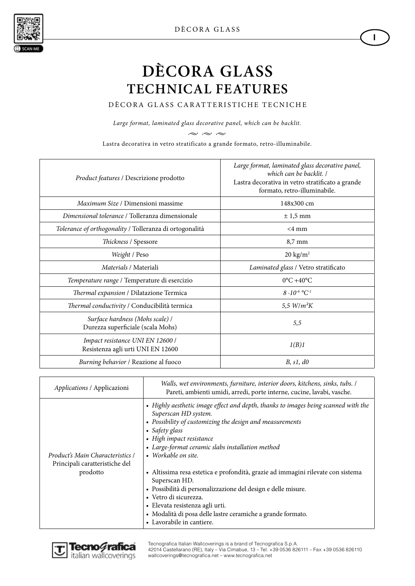**I**



# **DÈCORA GLASS TECHNICAL FEATURES**

DÈCORA GLASS CARATTERISTICHE TECNICHE

*Large format, laminated glass decorative panel, which can be backlit.*

 $\sim \ \ \sim \ \ \sim$ 

Lastra decorativa in vetro stratificato a grande formato, retro-illuminabile.

| Product features / Descrizione prodotto                               | Large format, laminated glass decorative panel,<br>which can be backlit. /<br>Lastra decorativa in vetro stratificato a grande<br>formato, retro-illuminabile. |
|-----------------------------------------------------------------------|----------------------------------------------------------------------------------------------------------------------------------------------------------------|
| <i>Maximum Size / Dimensioni massime</i>                              | 148x300 cm                                                                                                                                                     |
| Dimensional tolerance / Tolleranza dimensionale                       | $\pm$ 1,5 mm                                                                                                                                                   |
| Tolerance of orthogonality / Tolleranza di ortogonalità               | $<4$ mm                                                                                                                                                        |
| Thickness / Spessore                                                  | $8,7 \text{ mm}$                                                                                                                                               |
| Weight / Peso                                                         | $20 \text{ kg/m}^2$                                                                                                                                            |
| Materials / Materiali                                                 | Laminated glass / Vetro stratificato                                                                                                                           |
| Temperature range / Temperature di esercizio                          | $0^{\circ}$ C +40 $^{\circ}$ C                                                                                                                                 |
| Thermal expansion / Dilatazione Termica                               | $8.10^{-6}$ °C <sup>-1</sup>                                                                                                                                   |
| Thermal conductivity / Conducibilità termica                          | 5,5 $W/m^2K$                                                                                                                                                   |
| Surface hardness (Mohs scale) /<br>Durezza superficiale (scala Mohs)  | 5,5                                                                                                                                                            |
| Impact resistance UNI EN 12600 /<br>Resistenza agli urti UNI EN 12600 | 1(B)1                                                                                                                                                          |
| Burning behavior / Reazione al fuoco                                  | B, s1, d0                                                                                                                                                      |

| Applications / Applicazioni                                                    | Walls, wet environments, furniture, interior doors, kitchens, sinks, tubs. /<br>Pareti, ambienti umidi, arredi, porte interne, cucine, lavabi, vasche.                                                                                                                                                                                                                                                                                                                                                                                                                                                                       |
|--------------------------------------------------------------------------------|------------------------------------------------------------------------------------------------------------------------------------------------------------------------------------------------------------------------------------------------------------------------------------------------------------------------------------------------------------------------------------------------------------------------------------------------------------------------------------------------------------------------------------------------------------------------------------------------------------------------------|
| Product's Main Characteristics /<br>Principali caratteristiche del<br>prodotto | • Highly aesthetic image effect and depth, thanks to images being scanned with the<br>Superscan HD system.<br>• Possibility of customizing the design and measurements<br>• Safety glass<br>• High impact resistance<br>• Large-format ceramic slabs installation method<br>• Workable on site.<br>• Altissima resa estetica e profondità, grazie ad immagini rilevate con sistema<br>Superscan HD.<br>· Possibilità di personalizzazione del design e delle misure.<br>· Vetro di sicurezza.<br>· Elevata resistenza agli urti.<br>· Modalità di posa delle lastre ceramiche a grande formato.<br>• Lavorabile in cantiere. |



Tecnografica Italian Wallcoverings is a brand of Tecnografica S.p.A. 42014 Castellarano (RE), Italy – Via Cimabue, 13 – Tel. +39 0536 826111 – Fax +39 0536 826110 wallcoverings@tecnografica.net – www.tecnografica.net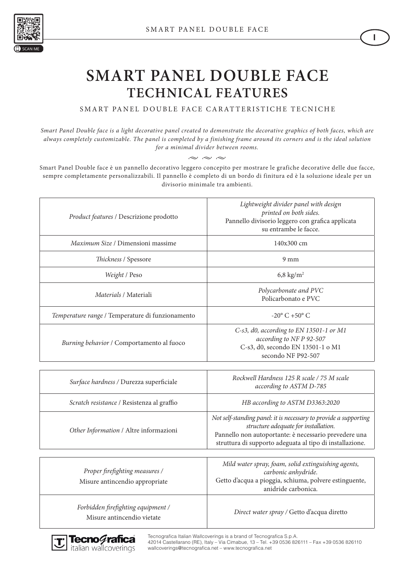

#### **SMART PANEL DOUBLE FACE TECHNICAL FEATURES**

SMART PANEL DOUBLE FACE CARATTERISTICHE TECNICHE

*Smart Panel Double face is a light decorative panel created to demonstrate the decorative graphics of both faces, which are always completely customizable. The panel is completed by a finishing frame around its corners and is the ideal solution for a minimal divider between rooms.*

 $\sim \sim \infty$ 

Smart Panel Double face è un pannello decorativo leggero concepito per mostrare le grafiche decorative delle due facce, sempre completamente personalizzabili. Il pannello è completo di un bordo di finitura ed è la soluzione ideale per un divisorio minimale tra ambienti.

| Product features / Descrizione prodotto                          | Lightweight divider panel with design<br>printed on both sides.<br>Pannello divisorio leggero con grafica applicata<br>su entrambe le facce.                                                                                  |
|------------------------------------------------------------------|-------------------------------------------------------------------------------------------------------------------------------------------------------------------------------------------------------------------------------|
| Maximum Size / Dimensioni massime                                | 140x300 cm                                                                                                                                                                                                                    |
| Thickness / Spessore                                             | $9 \text{ mm}$                                                                                                                                                                                                                |
| Weight / Peso                                                    | 6,8 kg/ $m2$                                                                                                                                                                                                                  |
| Materials / Materiali                                            | Polycarbonate and PVC<br>Policarbonato e PVC                                                                                                                                                                                  |
| Temperature range / Temperature di funzionamento                 | $-20^{\circ}$ C +50 $^{\circ}$ C                                                                                                                                                                                              |
| Burning behavior / Comportamento al fuoco                        | C-s3, d0, according to EN 13501-1 or M1<br>according to NF P 92-507<br>C-s3, d0, secondo EN 13501-1 o M1<br>secondo NF P92-507                                                                                                |
| Surface hardness / Durezza superficiale                          | Rockwell Hardness 125 R scale / 75 M scale<br>according to ASTM D-785                                                                                                                                                         |
| Scratch resistance / Resistenza al graffio                       | HB according to ASTM D3363:2020                                                                                                                                                                                               |
| Other Information / Altre informazioni                           | Not self-standing panel: it is necessary to provide a supporting<br>structure adequate for installation.<br>Pannello non autoportante: è necessario prevedere una<br>struttura di supporto adeguata al tipo di installazione. |
| Proper firefighting measures /<br>Misure antincendio appropriate | Mild water spray, foam, solid extinguishing agents,<br>carbonic anhydride.<br>Getto d'acqua a pioggia, schiuma, polvere estinguente,<br>anidride carbonica.                                                                   |
| Forbidden firefighting equipment /<br>Misure antincendio vietate | Direct water spray / Getto d'acqua diretto                                                                                                                                                                                    |

Tecnografica Italian Wallcoverings is a brand of Tecnografica S.p.A. 42014 Castellarano (RE), Italy – Via Cimabue, 13 – Tel. +39 0536 826111 – Fax +39 0536 826110 wallcoverings@tecnografica.net – www.tecnografica.net



**I**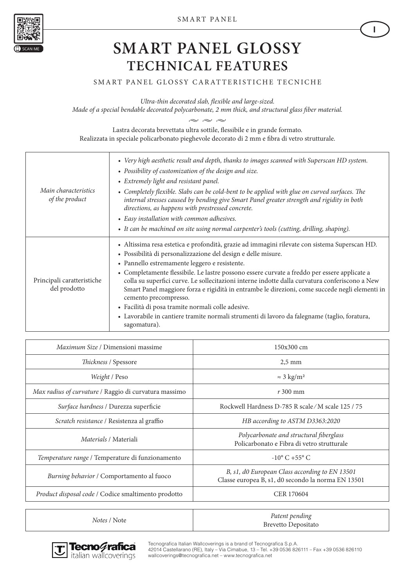

### **SMART PANEL GLOSSY TECHNICAL FEATURES**

#### SMART PANEL GLOSSY CARATTERISTICHE TECNICHE

*Ultra-thin decorated slab, flexible and large-sized.* 

*Made of a special bendable decorated polycarbonate, 2 mm thick, and structural glass fiber material.*

 $\sim$   $\sim$ 

Lastra decorata brevettata ultra sottile, flessibile e in grande formato. Realizzata in speciale policarbonato pieghevole decorato di 2 mm e fibra di vetro strutturale.

| Main characteristics<br>of the product     | • Very high aesthetic result and depth, thanks to images scanned with Superscan HD system.<br>• Possibility of customization of the design and size.<br>• Extremely light and resistant panel.<br>• Completely flexible. Slabs can be cold-bent to be applied with glue on curved surfaces. The<br>internal stresses caused by bending give Smart Panel greater strength and rigidity in both<br>directions, as happens with prestressed concrete.<br>• Easy installation with common adhesives.<br>• It can be machined on site using normal carpenter's tools (cutting, drilling, shaping).                                                                                                                     |
|--------------------------------------------|-------------------------------------------------------------------------------------------------------------------------------------------------------------------------------------------------------------------------------------------------------------------------------------------------------------------------------------------------------------------------------------------------------------------------------------------------------------------------------------------------------------------------------------------------------------------------------------------------------------------------------------------------------------------------------------------------------------------|
| Principali caratteristiche<br>del prodotto | · Altissima resa estetica e profondità, grazie ad immagini rilevate con sistema Superscan HD.<br>· Possibilità di personalizzazione del design e delle misure.<br>• Pannello estremamente leggero e resistente.<br>• Completamente flessibile. Le lastre possono essere curvate a freddo per essere applicate a<br>colla su superfici curve. Le sollecitazioni interne indotte dalla curvatura conferiscono a New<br>Smart Panel maggiore forza e rigidità in entrambe le direzioni, come succede negli elementi in<br>cemento precompresso.<br>· Facilità di posa tramite normali colle adesive.<br>• Lavorabile in cantiere tramite normali strumenti di lavoro da falegname (taglio, foratura,<br>sagomatura). |

| Maximum Size / Dimensioni massime                     | $150x300$ cm                                                                                         |
|-------------------------------------------------------|------------------------------------------------------------------------------------------------------|
| Thickness / Spessore                                  | $2,5$ mm                                                                                             |
| Weight / Peso                                         | $\approx$ 3 kg/m <sup>2</sup>                                                                        |
| Max radius of curvature / Raggio di curvatura massimo | $r300$ mm                                                                                            |
| Surface hardness / Durezza superficie                 | Rockwell Hardness D-785 R scale/M scale 125 / 75                                                     |
| Scratch resistance / Resistenza al graffio            | HB according to ASTM D3363:2020                                                                      |
| <i>Materials / Materiali</i>                          | Polycarbonate and structural fiberglass<br>Policarbonato e Fibra di vetro strutturale                |
| Temperature range / Temperature di funzionamento      | $-10^{\circ}$ C +55° C                                                                               |
| Burning behavior / Comportamento al fuoco             | B, s1, d0 European Class according to EN 13501<br>Classe europea B, s1, d0 secondo la norma EN 13501 |
| Product disposal code / Codice smaltimento prodotto   | <b>CER 170604</b>                                                                                    |
|                                                       |                                                                                                      |
|                                                       |                                                                                                      |

*Notes / Note Patent pending* 



Tecnografica Italian Wallcoverings is a brand of Tecnografica S.p.A. 42014 Castellarano (RE), Italy – Via Cimabue, 13 – Tel. +39 0536 826111 – Fax +39 0536 826110 wallcoverings@tecnografica.net – www.tecnografica.net

Brevetto Depositato